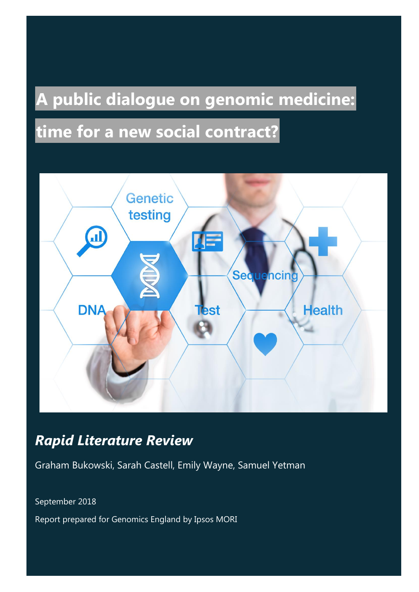# **A public dialogue on genomic medicine:**

# **time for a new social contract?**



## *Rapid Literature Review*

Graham Bukowski, Sarah Castell, Emily Wayne, Samuel Yetman

September 2018

Report prepared for Genomics England by Ipsos MORI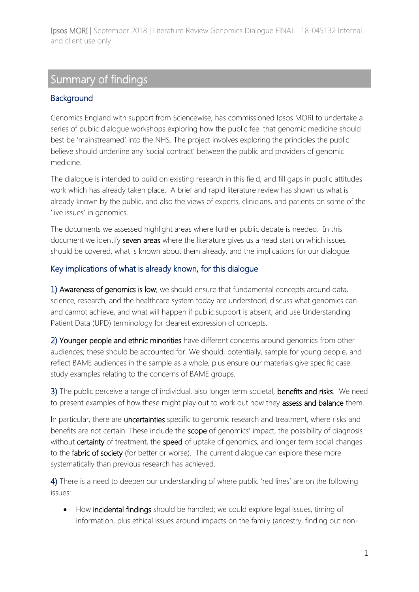## Summary of findings

## **Background**

Genomics England with support from Sciencewise, has commissioned Ipsos MORI to undertake a series of public dialogue workshops exploring how the public feel that genomic medicine should best be 'mainstreamed' into the NHS. The project involves exploring the principles the public believe should underline any 'social contract' between the public and providers of genomic medicine.

The dialogue is intended to build on existing research in this field, and fill gaps in public attitudes work which has already taken place. A brief and rapid literature review has shown us what is already known by the public, and also the views of experts, clinicians, and patients on some of the 'live issues' in genomics.

The documents we assessed highlight areas where further public debate is needed. In this document we identify seven areas where the literature gives us a head start on which issues should be covered, what is known about them already, and the implications for our dialogue.

## Key implications of what is already known, for this dialogue

1) Awareness of genomics is low; we should ensure that fundamental concepts around data, science, research, and the healthcare system today are understood; discuss what genomics can and cannot achieve, and what will happen if public support is absent; and use Understanding Patient Data (UPD) terminology for clearest expression of concepts.

2) Younger people and ethnic minorities have different concerns around genomics from other audiences; these should be accounted for. We should, potentially, sample for young people, and reflect BAME audiences in the sample as a whole, plus ensure our materials give specific case study examples relating to the concerns of BAME groups.

3) The public perceive a range of individual, also longer term societal, benefits and risks. We need to present examples of how these might play out to work out how they assess and balance them.

In particular, there are **uncertainties** specific to genomic research and treatment, where risks and benefits are not certain. These include the scope of genomics' impact, the possibility of diagnosis without certainty of treatment, the speed of uptake of genomics, and longer term social changes to the fabric of society (for better or worse). The current dialogue can explore these more systematically than previous research has achieved.

4) There is a need to deepen our understanding of where public 'red lines' are on the following issues:

• How incidental findings should be handled; we could explore legal issues, timing of information, plus ethical issues around impacts on the family (ancestry, finding out non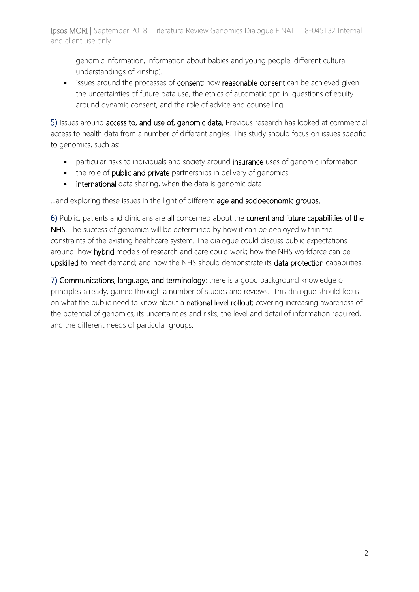genomic information, information about babies and young people, different cultural understandings of kinship).

• Issues around the processes of consent: how reasonable consent can be achieved given the uncertainties of future data use, the ethics of automatic opt-in, questions of equity around dynamic consent, and the role of advice and counselling.

5) Issues around access to, and use of, genomic data. Previous research has looked at commercial access to health data from a number of different angles. This study should focus on issues specific to genomics, such as:

- particular risks to individuals and society around insurance uses of genomic information
- the role of public and private partnerships in delivery of genomics
- international data sharing, when the data is genomic data

...and exploring these issues in the light of different age and socioeconomic groups.

6) Public, patients and clinicians are all concerned about the current and future capabilities of the NHS. The success of genomics will be determined by how it can be deployed within the constraints of the existing healthcare system. The dialogue could discuss public expectations around: how hybrid models of research and care could work; how the NHS workforce can be upskilled to meet demand; and how the NHS should demonstrate its data protection capabilities.

7) Communications, language, and terminology: there is a good background knowledge of principles already, gained through a number of studies and reviews. This dialogue should focus on what the public need to know about a national level rollout; covering increasing awareness of the potential of genomics, its uncertainties and risks; the level and detail of information required, and the different needs of particular groups.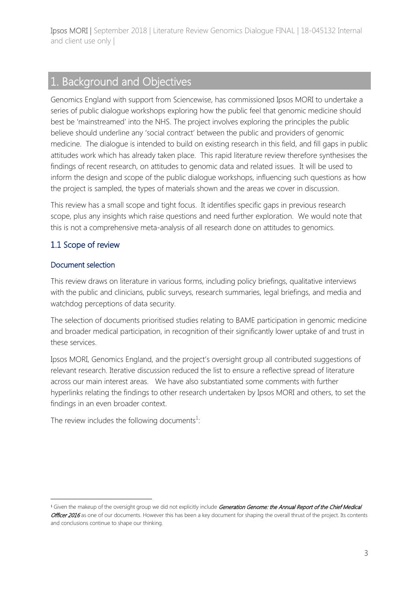## 1. Background and Objectives

Genomics England with support from Sciencewise, has commissioned Ipsos MORI to undertake a series of public dialogue workshops exploring how the public feel that genomic medicine should best be 'mainstreamed' into the NHS. The project involves exploring the principles the public believe should underline any 'social contract' between the public and providers of genomic medicine. The dialogue is intended to build on existing research in this field, and fill gaps in public attitudes work which has already taken place. This rapid literature review therefore synthesises the findings of recent research, on attitudes to genomic data and related issues. It will be used to inform the design and scope of the public dialogue workshops, influencing such questions as how the project is sampled, the types of materials shown and the areas we cover in discussion.

This review has a small scope and tight focus. It identifies specific gaps in previous research scope, plus any insights which raise questions and need further exploration. We would note that this is not a comprehensive meta-analysis of all research done on attitudes to genomics.

## 1.1 Scope of review

#### Document selection

1

This review draws on literature in various forms, including policy briefings, qualitative interviews with the public and clinicians, public surveys, research summaries, legal briefings, and media and watchdog perceptions of data security.

The selection of documents prioritised studies relating to BAME participation in genomic medicine and broader medical participation, in recognition of their significantly lower uptake of and trust in these services.

Ipsos MORI, Genomics England, and the project's oversight group all contributed suggestions of relevant research. Iterative discussion reduced the list to ensure a reflective spread of literature across our main interest areas. We have also substantiated some comments with further hyperlinks relating the findings to other research undertaken by Ipsos MORI and others, to set the findings in an even broader context.

The review includes the following documents<sup>1</sup>:

<sup>&</sup>lt;sup>1</sup> Given the makeup of the oversight group we did not explicitly include Generation Genome: the Annual Report of the Chief Medical Officer 2016 as one of our documents. However this has been a key document for shaping the overall thrust of the project. Its contents and conclusions continue to shape our thinking.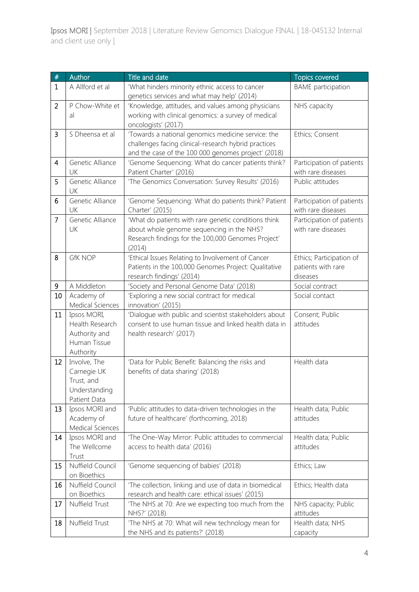| $\#$           | Author                           | Title and date                                         | <b>Topics covered</b>     |
|----------------|----------------------------------|--------------------------------------------------------|---------------------------|
| $\mathbf{1}$   | A Allford et al                  | 'What hinders minority ethnic access to cancer         | <b>BAME</b> participation |
|                |                                  | genetics services and what may help' (2014)            |                           |
| $\overline{2}$ | P Chow-White et                  | 'Knowledge, attitudes, and values among physicians     | NHS capacity              |
|                | al                               | working with clinical genomics: a survey of medical    |                           |
|                |                                  | oncologists' (2017)                                    |                           |
| 3              | S Dheensa et al                  | 'Towards a national genomics medicine service: the     | Ethics; Consent           |
|                |                                  | challenges facing clinical-research hybrid practices   |                           |
|                |                                  | and the case of the 100 000 genomes project' (2018)    |                           |
| $\overline{4}$ | Genetic Alliance                 | 'Genome Sequencing: What do cancer patients think?     | Participation of patients |
|                | UK                               | Patient Charter' (2016)                                | with rare diseases        |
| 5              | Genetic Alliance<br>UK           | 'The Genomics Conversation: Survey Results' (2016)     | Public attitudes          |
| 6              | Genetic Alliance                 | 'Genome Sequencing: What do patients think? Patient    | Participation of patients |
|                | UK                               | Charter' (2015)                                        | with rare diseases        |
| $\overline{7}$ | Genetic Alliance                 | 'What do patients with rare genetic conditions think   | Participation of patients |
|                | UK                               | about whole genome sequencing in the NHS?              | with rare diseases        |
|                |                                  | Research findings for the 100,000 Genomes Project'     |                           |
|                |                                  | (2014)                                                 |                           |
| 8              | <b>GfK NOP</b>                   | 'Ethical Issues Relating to Involvement of Cancer      | Ethics; Participation of  |
|                |                                  | Patients in the 100,000 Genomes Project: Qualitative   | patients with rare        |
|                |                                  | research findings' (2014)                              | diseases                  |
| 9              | A Middleton                      | 'Society and Personal Genome Data' (2018)              | Social contract           |
| 10             | Academy of                       | 'Exploring a new social contract for medical           | Social contact            |
|                | Medical Sciences                 | innovation' (2015)                                     |                           |
| 11             | Ipsos MORI,                      | 'Dialogue with public and scientist stakeholders about | Consent; Public           |
|                | Health Research                  | consent to use human tissue and linked health data in  | attitudes                 |
|                | Authority and<br>Human Tissue    | health research' (2017)                                |                           |
|                | Authority                        |                                                        |                           |
| 12             | Involve, The                     | 'Data for Public Benefit: Balancing the risks and      | Health data               |
|                | Carnegie UK                      | benefits of data sharing' (2018)                       |                           |
|                | Trust, and                       |                                                        |                           |
|                | Understanding                    |                                                        |                           |
|                | Patient Data                     |                                                        |                           |
| 13             | Ipsos MORI and                   | 'Public attitudes to data-driven technologies in the   | Health data; Public       |
|                | Academy of                       | future of healthcare' (forthcoming, 2018)              | attitudes                 |
|                | Medical Sciences                 |                                                        |                           |
| 14             | Ipsos MORI and                   | 'The One-Way Mirror: Public attitudes to commercial    | Health data; Public       |
|                | The Wellcome                     | access to health data' (2016)                          | attitudes                 |
|                | Trust                            |                                                        |                           |
| 15             | Nuffield Council<br>on Bioethics | 'Genome sequencing of babies' (2018)                   | Ethics; Law               |
| 16             | Nuffield Council                 | 'The collection, linking and use of data in biomedical | Ethics; Health data       |
|                | on Bioethics                     | research and health care: ethical issues' (2015)       |                           |
| 17             | Nuffield Trust                   | 'The NHS at 70: Are we expecting too much from the     | NHS capacity; Public      |
|                |                                  | NHS?' (2018)                                           | attitudes                 |
| 18             | Nuffield Trust                   | 'The NHS at 70: What will new technology mean for      | Health data; NHS          |
|                |                                  | the NHS and its patients?' (2018)                      | capacity                  |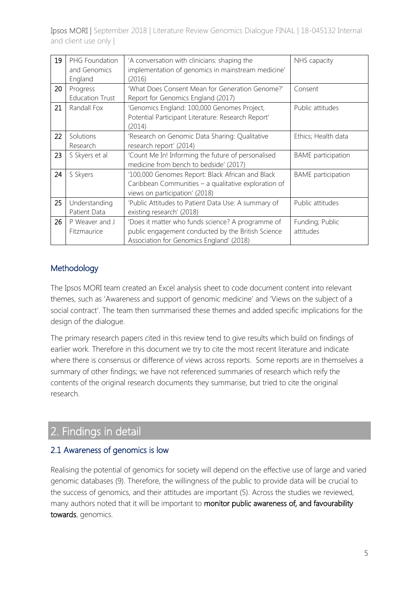| 19 | PHG Foundation<br>and Genomics<br>England | 'A conversation with clinicians: shaping the<br>implementation of genomics in mainstream medicine'<br>(2016)                                        | NHS capacity                 |
|----|-------------------------------------------|-----------------------------------------------------------------------------------------------------------------------------------------------------|------------------------------|
| 20 | Progress<br><b>Education Trust</b>        | 'What Does Consent Mean for Generation Genome?'<br>Report for Genomics England (2017)                                                               | Consent                      |
| 21 | Randall Fox                               | 'Genomics England: 100,000 Genomes Project,<br>Potential Participant Literature: Research Report'<br>(2014)                                         | Public attitudes             |
| 22 | Solutions<br>Research                     | 'Research on Genomic Data Sharing: Qualitative<br>research report' (2014)                                                                           | Ethics; Health data          |
| 23 | S Skyers et al                            | 'Count Me In! Informing the future of personalised<br>medicine from bench to bedside' (2017)                                                        | <b>BAME</b> participation    |
| 24 | S Skyers                                  | '100,000 Genomes Report: Black African and Black<br>Caribbean Communities - a qualitative exploration of<br>views on participation' (2018)          | <b>BAME</b> participation    |
| 25 | Understanding<br>Patient Data             | 'Public Attitudes to Patient Data Use: A summary of<br>existing research' (2018)                                                                    | Public attitudes             |
| 26 | P Weaver and J<br>Fitzmaurice             | 'Does it matter who funds science? A programme of<br>public engagement conducted by the British Science<br>Association for Genomics England' (2018) | Funding; Public<br>attitudes |

## Methodology

The Ipsos MORI team created an Excel analysis sheet to code document content into relevant themes, such as 'Awareness and support of genomic medicine' and 'Views on the subject of a social contract'. The team then summarised these themes and added specific implications for the design of the dialogue.

The primary research papers cited in this review tend to give results which build on findings of earlier work. Therefore in this document we try to cite the most recent literature and indicate where there is consensus or difference of views across reports. Some reports are in themselves a summary of other findings; we have not referenced summaries of research which reify the contents of the original research documents they summarise, but tried to cite the original research.

## 2. Findings in detail

## 2.1 Awareness of genomics is low

Realising the potential of genomics for society will depend on the effective use of large and varied genomic databases (9). Therefore, the willingness of the public to provide data will be crucial to the success of genomics, and their attitudes are important (5). Across the studies we reviewed, many authors noted that it will be important to monitor public awareness of, and favourability towards, genomics.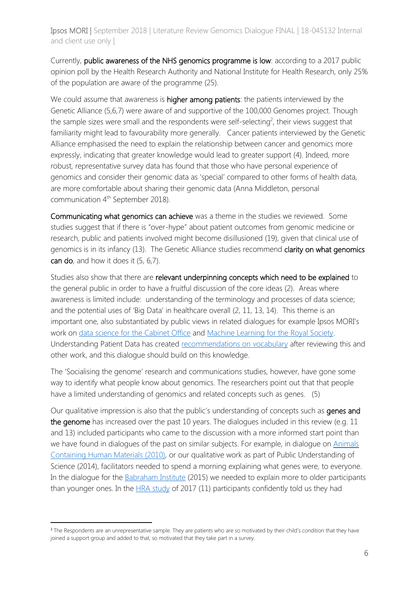Currently, public awareness of the NHS genomics programme is low: according to a 2017 public opinion poll by the Health Research Authority and National Institute for Health Research, only 25% of the population are aware of the programme (25).

We could assume that awareness is **higher among patients**: the patients interviewed by the Genetic Alliance (5,6,7) were aware of and supportive of the 100,000 Genomes project. Though the sample sizes were small and the respondents were self-selecting<sup>2</sup>, their views suggest that familiarity might lead to favourability more generally. Cancer patients interviewed by the Genetic Alliance emphasised the need to explain the relationship between cancer and genomics more expressly, indicating that greater knowledge would lead to greater support (4). Indeed, more robust, representative survey data has found that those who have personal experience of genomics and consider their genomic data as 'special' compared to other forms of health data, are more comfortable about sharing their genomic data (Anna Middleton, personal communication 4<sup>th</sup> September 2018).

Communicating what genomics can achieve was a theme in the studies we reviewed. Some studies suggest that if there is "over-hype" about patient outcomes from genomic medicine or research, public and patients involved might become disillusioned (19), given that clinical use of genomics is in its infancy (13). The Genetic Alliance studies recommend clarity on what genomics can do, and how it does it (5, 6,7).

Studies also show that there are relevant underpinning concepts which need to be explained to the general public in order to have a fruitful discussion of the core ideas (2). Areas where awareness is limited include: understanding of the terminology and processes of data science; and the potential uses of 'Big Data' in healthcare overall (2, 11, 13, 14). This theme is an important one, also substantiated by public views in related dialogues for example Ipsos MORI's work on [data science for the Cabinet Office](https://www.ipsos.com/sites/default/files/2017-05/data-science-ethics-in-government.pdf) and [Machine Learning for the Royal Society.](https://royalsociety.org/~/media/policy/projects/machine-learning/publications/public-views-of-machine-learning-ipsos-mori.pdf) Understanding Patient Data has created [recommendations on vocabulary](https://understandingpatientdata.org.uk/what-are-best-words-use-when-talking-about-data) after reviewing this and other work, and this dialogue should build on this knowledge.

The 'Socialising the genome' research and communications studies, however, have gone some way to identify what people know about genomics. The researchers point out that that people have a limited understanding of genomics and related concepts such as genes. (5)

Our qualitative impression is also that the public's understanding of concepts such as genes and the genome has increased over the past 10 years. The dialogues included in this review (e.g. 11 and 13) included participants who came to the discussion with a more informed start point than we have found in dialogues of the past on similar subjects. For example, in dialogue on [Animals](https://acmedsci.ac.uk/file-download/34765-ACHMrepo.pdf)  [Containing Human Materials \(2010\),](https://acmedsci.ac.uk/file-download/34765-ACHMrepo.pdf) or our qualitative work as part of Public Understanding of Science (2014), facilitators needed to spend a morning explaining what genes were, to everyone. In the dialogue for the [Babraham Institute](https://www.ipsos.com/sites/default/files/publication/1970-01/sri-centgov-public-dialogue-babraham-2015.pdf) (2015) we needed to explain more to older participants than younger ones. In the [HRA study](https://www.hra.nhs.uk/about-us/news-updates/public-support-greater-data-sharing-biobanks/) of 2017 (11) participants confidently told us they had

1

<sup>&</sup>lt;sup>2</sup> The Respondents are an unrepresentative sample. They are patients who are so motivated by their child's condition that they have joined a support group and added to that, so motivated that they take part in a survey.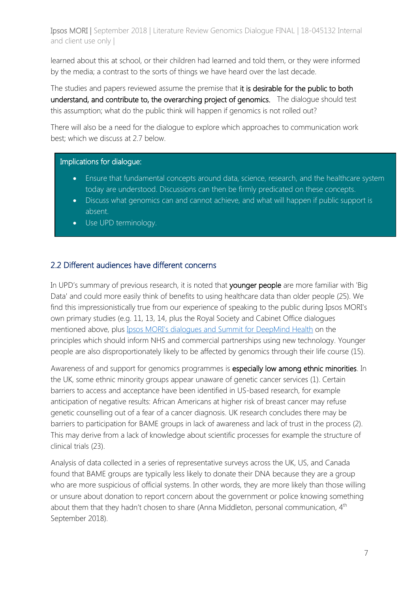learned about this at school, or their children had learned and told them, or they were informed by the media; a contrast to the sorts of things we have heard over the last decade.

The studies and papers reviewed assume the premise that it is desirable for the public to both understand, and contribute to, the overarching project of genomics. The dialogue should test this assumption; what do the public think will happen if genomics is not rolled out?

There will also be a need for the dialogue to explore which approaches to communication work best; which we discuss at 2.7 below.

#### Implications for dialogue:

- Ensure that fundamental concepts around data, science, research, and the healthcare system today are understood. Discussions can then be firmly predicated on these concepts.
- Discuss what genomics can and cannot achieve, and what will happen if public support is absent.
- Use UPD terminology.

#### 2.2 Different audiences have different concerns

In UPD's summary of previous research, it is noted that younger people are more familiar with 'Big Data' and could more easily think of benefits to using healthcare data than older people (25). We find this impressionistically true from our experience of speaking to the public during Ipsos MORI's own primary studies (e.g. 11, 13, 14, plus the Royal Society and Cabinet Office dialogues mentioned above, plus Ipsos MORI's [dialogues and Summit](https://deepmind.com/applied/deepmind-health/transparency-independent-reviewers/developing-our-values/) for DeepMind Health on the principles which should inform NHS and commercial partnerships using new technology. Younger people are also disproportionately likely to be affected by genomics through their life course (15).

Awareness of and support for genomics programmes is especially low among ethnic minorities. In the UK, some ethnic minority groups appear unaware of genetic cancer services (1). Certain barriers to access and acceptance have been identified in US-based research, for example anticipation of negative results: African Americans at higher risk of breast cancer may refuse genetic counselling out of a fear of a cancer diagnosis. UK research concludes there may be barriers to participation for BAME groups in lack of awareness and lack of trust in the process (2). This may derive from a lack of knowledge about scientific processes for example the structure of clinical trials (23).

Analysis of data collected in a series of representative surveys across the UK, US, and Canada found that BAME groups are typically less likely to donate their DNA because they are a group who are more suspicious of official systems. In other words, they are more likely than those willing or unsure about donation to report concern about the government or police knowing something about them that they hadn't chosen to share (Anna Middleton, personal communication, 4<sup>th</sup> September 2018).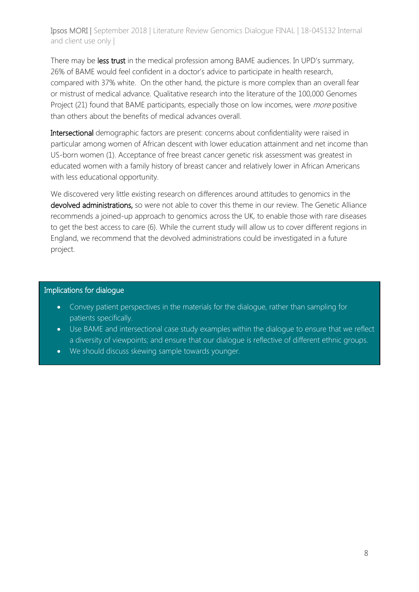There may be less trust in the medical profession among BAME audiences. In UPD's summary, 26% of BAME would feel confident in a doctor's advice to participate in health research, compared with 37% white. On the other hand, the picture is more complex than an overall fear or mistrust of medical advance. Qualitative research into the literature of the 100,000 Genomes Project (21) found that BAME participants, especially those on low incomes, were *more* positive than others about the benefits of medical advances overall.

Intersectional demographic factors are present: concerns about confidentiality were raised in particular among women of African descent with lower education attainment and net income than US-born women (1). Acceptance of free breast cancer genetic risk assessment was greatest in educated women with a family history of breast cancer and relatively lower in African Americans with less educational opportunity.

We discovered very little existing research on differences around attitudes to genomics in the devolved administrations, so were not able to cover this theme in our review. The Genetic Alliance recommends a joined-up approach to genomics across the UK, to enable those with rare diseases to get the best access to care (6). While the current study will allow us to cover different regions in England, we recommend that the devolved administrations could be investigated in a future project.

#### Implications for dialogue

- Convey patient perspectives in the materials for the dialogue, rather than sampling for patients specifically.
- Use BAME and intersectional case study examples within the dialogue to ensure that we reflect a diversity of viewpoints; and ensure that our dialogue is reflective of different ethnic groups.
- We should discuss skewing sample towards younger.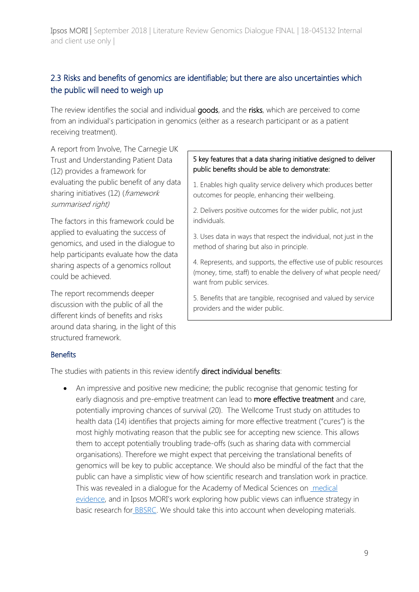## 2.3 Risks and benefits of genomics are identifiable; but there are also uncertainties which the public will need to weigh up

The review identifies the social and individual goods, and the risks, which are perceived to come from an individual's participation in genomics (either as a research participant or as a patient receiving treatment).

A report from Involve, The Carnegie UK Trust and Understanding Patient Data (12) provides a framework for evaluating the public benefit of any data sharing initiatives (12) (framework summarised right)

The factors in this framework could be applied to evaluating the success of genomics, and used in the dialogue to help participants evaluate how the data sharing aspects of a genomics rollout could be achieved.

The report recommends deeper discussion with the public of all the different kinds of benefits and risks around data sharing, in the light of this structured framework.

#### 5 key features that a data sharing initiative designed to deliver public benefits should be able to demonstrate:

1. Enables high quality service delivery which produces better outcomes for people, enhancing their wellbeing.

2. Delivers positive outcomes for the wider public, not just individuals.

3. Uses data in ways that respect the individual, not just in the method of sharing but also in principle.

4. Represents, and supports, the effective use of public resources (money, time, staff) to enable the delivery of what people need/ want from public services.

5. Benefits that are tangible, recognised and valued by service providers and the wider public.

#### **Benefits**

The studies with patients in this review identify **direct individual benefits**:

• An impressive and positive new medicine; the public recognise that genomic testing for early diagnosis and pre-emptive treatment can lead to more effective treatment and care, potentially improving chances of survival (20). The Wellcome Trust study on attitudes to health data (14) identifies that projects aiming for more effective treatment ("cures") is the most highly motivating reason that the public see for accepting new science. This allows them to accept potentially troubling trade-offs (such as sharing data with commercial organisations). Therefore we might expect that perceiving the translational benefits of genomics will be key to public acceptance. We should also be mindful of the fact that the public can have a simplistic view of how scientific research and translation work in practice. This was revealed in a dialogue for the Academy of Medical Sciences on [medical](https://acmedsci.ac.uk/file-download/6198272)  [evidence](https://acmedsci.ac.uk/file-download/6198272), and in Ipsos MORI's work exploring how public views can influence strategy in basic research for [BBSRC.](https://ems.ipsos-mori.com/Assets/Docs/Publications/sri-qualitative-bbsrc-bioscience-underpinning-health-nov-2012.pdf) We should take this into account when developing materials.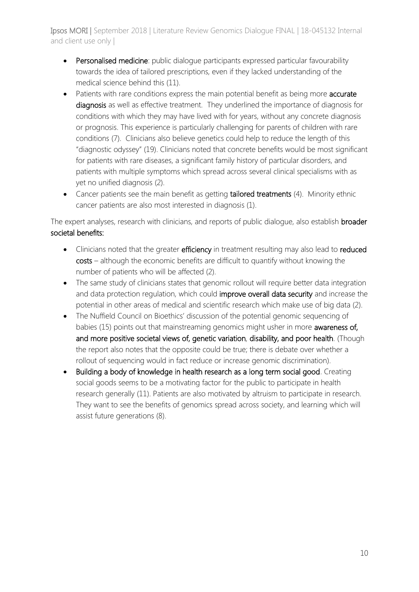- Personalised medicine: public dialoque participants expressed particular favourability towards the idea of tailored prescriptions, even if they lacked understanding of the medical science behind this (11).
- Patients with rare conditions express the main potential benefit as being more accurate diagnosis as well as effective treatment. They underlined the importance of diagnosis for conditions with which they may have lived with for years, without any concrete diagnosis or prognosis. This experience is particularly challenging for parents of children with rare conditions (7). Clinicians also believe genetics could help to reduce the length of this "diagnostic odyssey" (19). Clinicians noted that concrete benefits would be most significant for patients with rare diseases, a significant family history of particular disorders, and patients with multiple symptoms which spread across several clinical specialisms with as yet no unified diagnosis (2).
- Cancer patients see the main benefit as getting tailored treatments (4). Minority ethnic cancer patients are also most interested in diagnosis (1).

The expert analyses, research with clinicians, and reports of public dialogue, also establish **broader** societal benefits:

- Clinicians noted that the greater efficiency in treatment resulting may also lead to reduced costs – although the economic benefits are difficult to quantify without knowing the number of patients who will be affected (2).
- The same study of clinicians states that genomic rollout will require better data integration and data protection regulation, which could improve overall data security and increase the potential in other areas of medical and scientific research which make use of big data (2).
- The Nuffield Council on Bioethics' discussion of the potential genomic sequencing of babies (15) points out that mainstreaming genomics might usher in more awareness of, and more positive societal views of, genetic variation, disability, and poor health. (Though the report also notes that the opposite could be true; there is debate over whether a rollout of sequencing would in fact reduce or increase genomic discrimination).
- Building a body of knowledge in health research as a long term social good. Creating social goods seems to be a motivating factor for the public to participate in health research generally (11). Patients are also motivated by altruism to participate in research. They want to see the benefits of genomics spread across society, and learning which will assist future generations (8).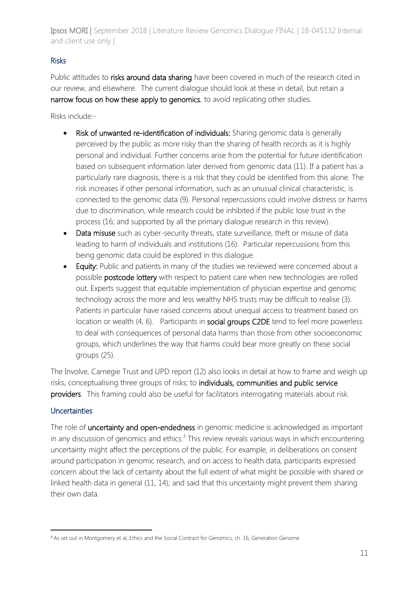### Risks

Public attitudes to risks around data sharing have been covered in much of the research cited in our review, and elsewhere. The current dialogue should look at these in detail, but retain a narrow focus on how these apply to genomics, to avoid replicating other studies.

Risks include:-

- Risk of unwanted re-identification of individuals: Sharing genomic data is generally perceived by the public as more risky than the sharing of health records as it is highly personal and individual. Further concerns arise from the potential for future identification based on subsequent information later derived from genomic data (11). If a patient has a particularly rare diagnosis, there is a risk that they could be identified from this alone. The risk increases if other personal information, such as an unusual clinical characteristic, is connected to the genomic data (9). Personal repercussions could involve distress or harms due to discrimination, while research could be inhibited if the public lose trust in the process (16; and supported by all the primary dialogue research in this review).
- Data misuse such as cyber-security threats, state surveillance, theft or misuse of data leading to harm of individuals and institutions (16). Particular repercussions from this being genomic data could be explored in this dialogue.
- Equity: Public and patients in many of the studies we reviewed were concerned about a possible postcode lottery with respect to patient care when new technologies are rolled out. Experts suggest that equitable implementation of physician expertise and genomic technology across the more and less wealthy NHS trusts may be difficult to realise (3). Patients in particular have raised concerns about unequal access to treatment based on location or wealth (4, 6). Participants in **social groups C2DE** tend to feel more powerless to deal with consequences of personal data harms than those from other socioeconomic groups, which underlines the way that harms could bear more greatly on these social groups (25).

The Involve, Carnegie Trust and UPD report (12) also looks in detail at how to frame and weigh up risks, conceptualising three groups of risks; to individuals, communities and public service providers. This framing could also be useful for facilitators interrogating materials about risk.

#### **Uncertainties**

The role of uncertainty and open-endedness in genomic medicine is acknowledged as important in any discussion of genomics and ethics. $3$  This review reveals various ways in which encountering uncertainty might affect the perceptions of the public. For example, in deliberations on consent around participation in genomic research, and on access to health data, participants expressed concern about the lack of certainty about the full extent of what might be possible with shared or linked health data in general (11, 14); and said that this uncertainty might prevent them sharing their own data.

**<sup>.</sup>** <sup>3</sup> As set out in Montgomery et al, Ethics and the Social Contract for Genomics, ch. 16, Generation Genome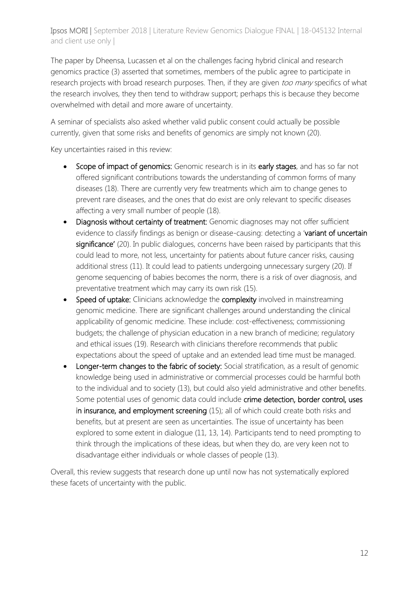The paper by Dheensa, Lucassen et al on the challenges facing hybrid clinical and research genomics practice (3) asserted that sometimes, members of the public agree to participate in research projects with broad research purposes. Then, if they are given too many specifics of what the research involves, they then tend to withdraw support; perhaps this is because they become overwhelmed with detail and more aware of uncertainty.

A seminar of specialists also asked whether valid public consent could actually be possible currently, given that some risks and benefits of genomics are simply not known (20).

Key uncertainties raised in this review:

- Scope of impact of genomics: Genomic research is in its early stages, and has so far not offered significant contributions towards the understanding of common forms of many diseases (18). There are currently very few treatments which aim to change genes to prevent rare diseases, and the ones that do exist are only relevant to specific diseases affecting a very small number of people (18).
- Diagnosis without certainty of treatment: Genomic diagnoses may not offer sufficient evidence to classify findings as benign or disease-causing: detecting a 'variant of uncertain significance' (20). In public dialogues, concerns have been raised by participants that this could lead to more, not less, uncertainty for patients about future cancer risks, causing additional stress (11). It could lead to patients undergoing unnecessary surgery (20). If genome sequencing of babies becomes the norm, there is a risk of over diagnosis, and preventative treatment which may carry its own risk (15).
- Speed of uptake: Clinicians acknowledge the complexity involved in mainstreaming genomic medicine. There are significant challenges around understanding the clinical applicability of genomic medicine. These include: cost-effectiveness; commissioning budgets; the challenge of physician education in a new branch of medicine; regulatory and ethical issues (19). Research with clinicians therefore recommends that public expectations about the speed of uptake and an extended lead time must be managed.
- Longer-term changes to the fabric of society: Social stratification, as a result of genomic knowledge being used in administrative or commercial processes could be harmful both to the individual and to society (13), but could also yield administrative and other benefits. Some potential uses of genomic data could include crime detection, border control, uses in insurance, and employment screening (15); all of which could create both risks and benefits, but at present are seen as uncertainties. The issue of uncertainty has been explored to some extent in dialogue (11, 13, 14). Participants tend to need prompting to think through the implications of these ideas, but when they do, are very keen not to disadvantage either individuals or whole classes of people (13).

Overall, this review suggests that research done up until now has not systematically explored these facets of uncertainty with the public.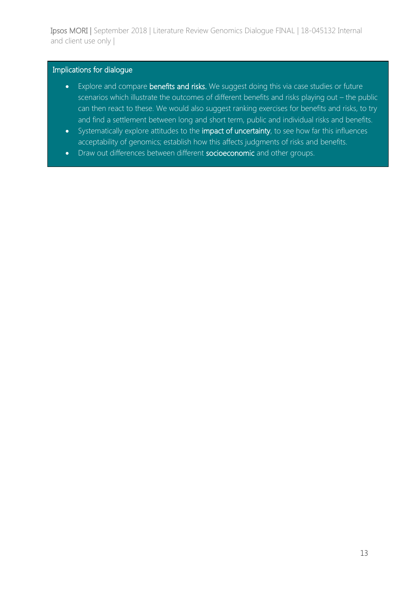#### Implications for dialogue

- Explore and compare benefits and risks. We suggest doing this via case studies or future scenarios which illustrate the outcomes of different benefits and risks playing out – the public can then react to these. We would also suggest ranking exercises for benefits and risks, to try and find a settlement between long and short term, public and individual risks and benefits.
- Systematically explore attitudes to the impact of uncertainty, to see how far this influences acceptability of genomics; establish how this affects judgments of risks and benefits.
- Draw out differences between different socioeconomic and other groups.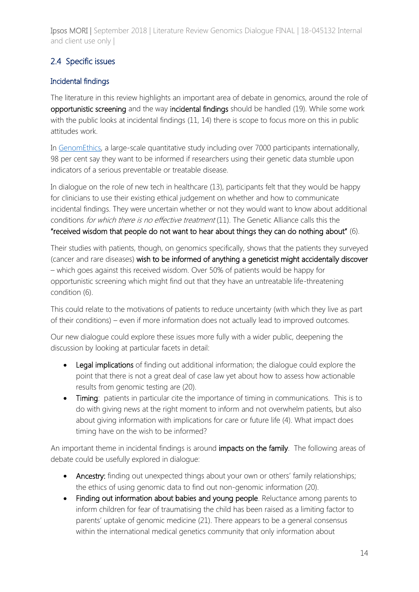## 2.4 Specific issues

## Incidental findings

The literature in this review highlights an important area of debate in genomics, around the role of opportunistic screening and the way incidental findings should be handled (19). While some work with the public looks at incidental findings (11, 14) there is scope to focus more on this in public attitudes work.

In [GenomEthics,](https://societyandethicsresearch.wellcomegenomecampus.org/catalogue/attitudes-of-nearly-7000-health-professionals-genomic-researchers-and-publics-toward-the) a large-scale quantitative study including over 7000 participants internationally, 98 per cent say they want to be informed if researchers using their genetic data stumble upon indicators of a serious preventable or treatable disease.

In dialogue on the role of new tech in healthcare (13), participants felt that they would be happy for clinicians to use their existing ethical judgement on whether and how to communicate incidental findings. They were uncertain whether or not they would want to know about additional conditions for which there is no effective treatment (11). The Genetic Alliance calls this the "received wisdom that people do not want to hear about things they can do nothing about" (6).

Their studies with patients, though, on genomics specifically, shows that the patients they surveyed (cancer and rare diseases) wish to be informed of anything a geneticist might accidentally discover – which goes against this received wisdom. Over 50% of patients would be happy for opportunistic screening which might find out that they have an untreatable life-threatening condition (6).

This could relate to the motivations of patients to reduce uncertainty (with which they live as part of their conditions) – even if more information does not actually lead to improved outcomes.

Our new dialogue could explore these issues more fully with a wider public, deepening the discussion by looking at particular facets in detail:

- Legal implications of finding out additional information; the dialogue could explore the point that there is not a great deal of case law yet about how to assess how actionable results from genomic testing are (20).
- Timing: patients in particular cite the importance of timing in communications. This is to do with giving news at the right moment to inform and not overwhelm patients, but also about giving information with implications for care or future life (4). What impact does timing have on the wish to be informed?

An important theme in incidental findings is around impacts on the family. The following areas of debate could be usefully explored in dialogue:

- Ancestry: finding out unexpected things about your own or others' family relationships; the ethics of using genomic data to find out non-genomic information (20).
- Finding out information about babies and young people. Reluctance among parents to inform children for fear of traumatising the child has been raised as a limiting factor to parents' uptake of genomic medicine (21). There appears to be a general consensus within the international medical genetics community that only information about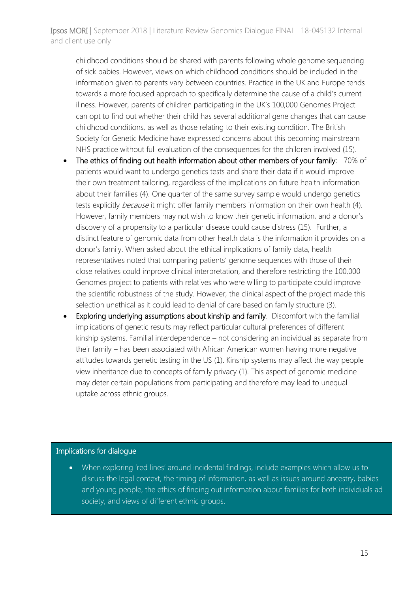childhood conditions should be shared with parents following whole genome sequencing of sick babies. However, views on which childhood conditions should be included in the information given to parents vary between countries. Practice in the UK and Europe tends towards a more focused approach to specifically determine the cause of a child's current illness. However, parents of children participating in the UK's 100,000 Genomes Project can opt to find out whether their child has several additional gene changes that can cause childhood conditions, as well as those relating to their existing condition. The British Society for Genetic Medicine have expressed concerns about this becoming mainstream NHS practice without full evaluation of the consequences for the children involved (15).

- The ethics of finding out health information about other members of your family: 70% of patients would want to undergo genetics tests and share their data if it would improve their own treatment tailoring, regardless of the implications on future health information about their families (4). One quarter of the same survey sample would undergo genetics tests explicitly *because* it might offer family members information on their own health (4). However, family members may not wish to know their genetic information, and a donor's discovery of a propensity to a particular disease could cause distress (15). Further, a distinct feature of genomic data from other health data is the information it provides on a donor's family. When asked about the ethical implications of family data, health representatives noted that comparing patients' genome sequences with those of their close relatives could improve clinical interpretation, and therefore restricting the 100,000 Genomes project to patients with relatives who were willing to participate could improve the scientific robustness of the study. However, the clinical aspect of the project made this selection unethical as it could lead to denial of care based on family structure (3).
- Exploring underlying assumptions about kinship and family. Discomfort with the familial implications of genetic results may reflect particular cultural preferences of different kinship systems. Familial interdependence – not considering an individual as separate from their family – has been associated with African American women having more negative attitudes towards genetic testing in the US (1). Kinship systems may affect the way people view inheritance due to concepts of family privacy (1). This aspect of genomic medicine may deter certain populations from participating and therefore may lead to unequal uptake across ethnic groups.

#### Implications for dialogue

• When exploring 'red lines' around incidental findings, include examples which allow us to discuss the legal context, the timing of information, as well as issues around ancestry, babies and young people, the ethics of finding out information about families for both individuals ad society, and views of different ethnic groups.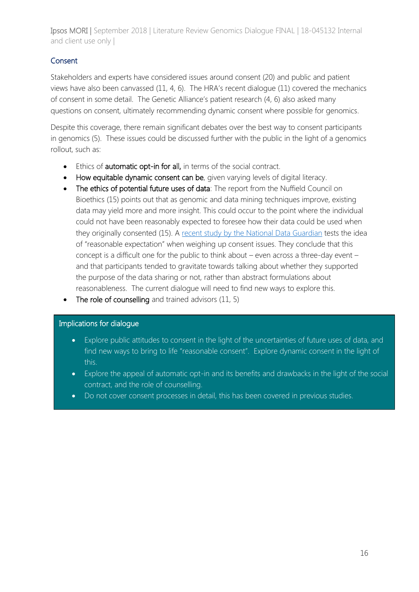## **Consent**

Stakeholders and experts have considered issues around consent (20) and public and patient views have also been canvassed (11, 4, 6). The HRA's recent dialogue (11) covered the mechanics of consent in some detail. The Genetic Alliance's patient research (4, 6) also asked many questions on consent, ultimately recommending dynamic consent where possible for genomics.

Despite this coverage, there remain significant debates over the best way to consent participants in genomics (5). These issues could be discussed further with the public in the light of a genomics rollout, such as:

- Ethics of automatic opt-in for all, in terms of the social contract.
- How equitable dynamic consent can be, given varying levels of digital literacy.
- The ethics of potential future uses of data: The report from the Nuffield Council on Bioethics (15) points out that as genomic and data mining techniques improve, existing data may yield more and more insight. This could occur to the point where the individual could not have been reasonably expected to foresee how their data could be used when they originally consented (15). A [recent study by the National Data Guardian](https://www.gov.uk/government/speeches/talking-with-citizens-about-expectations-for-data-sharing-and-privacy) tests the idea of "reasonable expectation" when weighing up consent issues. They conclude that this concept is a difficult one for the public to think about – even across a three-day event – and that participants tended to gravitate towards talking about whether they supported the purpose of the data sharing or not, rather than abstract formulations about reasonableness. The current dialogue will need to find new ways to explore this.
- The role of counselling and trained advisors (11, 5)

#### Implications for dialogue

- Explore public attitudes to consent in the light of the uncertainties of future uses of data, and find new ways to bring to life "reasonable consent". Explore dynamic consent in the light of this.
- Explore the appeal of automatic opt-in and its benefits and drawbacks in the light of the social contract, and the role of counselling.
- Do not cover consent processes in detail, this has been covered in previous studies.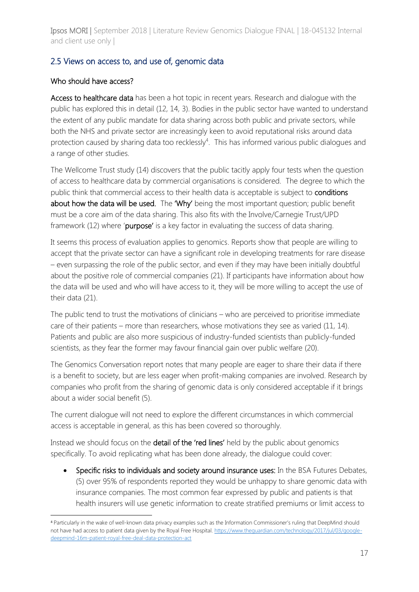## 2.5 Views on access to, and use of, genomic data

#### Who should have access?

1

Access to healthcare data has been a hot topic in recent years. Research and dialogue with the public has explored this in detail (12, 14, 3). Bodies in the public sector have wanted to understand the extent of any public mandate for data sharing across both public and private sectors, while both the NHS and private sector are increasingly keen to avoid reputational risks around data protection caused by sharing data too recklessly<sup>4</sup>. This has informed various public dialogues and a range of other studies.

The Wellcome Trust study (14) discovers that the public tacitly apply four tests when the question of access to healthcare data by commercial organisations is considered. The degree to which the public think that commercial access to their health data is acceptable is subject to conditions about how the data will be used. The 'Why' being the most important question; public benefit must be a core aim of the data sharing. This also fits with the Involve/Carnegie Trust/UPD framework (12) where 'purpose' is a key factor in evaluating the success of data sharing.

It seems this process of evaluation applies to genomics. Reports show that people are willing to accept that the private sector can have a significant role in developing treatments for rare disease – even surpassing the role of the public sector, and even if they may have been initially doubtful about the positive role of commercial companies (21). If participants have information about how the data will be used and who will have access to it, they will be more willing to accept the use of their data (21).

The public tend to trust the motivations of clinicians – who are perceived to prioritise immediate care of their patients – more than researchers, whose motivations they see as varied (11, 14). Patients and public are also more suspicious of industry-funded scientists than publicly-funded scientists, as they fear the former may favour financial gain over public welfare (20).

The Genomics Conversation report notes that many people are eager to share their data if there is a benefit to society, but are less eager when profit-making companies are involved. Research by companies who profit from the sharing of genomic data is only considered acceptable if it brings about a wider social benefit (5).

The current dialogue will not need to explore the different circumstances in which commercial access is acceptable in general, as this has been covered so thoroughly.

Instead we should focus on the detail of the 'red lines' held by the public about genomics specifically. To avoid replicating what has been done already, the dialogue could cover:

• Specific risks to individuals and society around insurance uses: In the BSA Futures Debates, (5) over 95% of respondents reported they would be unhappy to share genomic data with insurance companies. The most common fear expressed by public and patients is that health insurers will use genetic information to create stratified premiums or limit access to

<sup>4</sup> Particularly in the wake of well-known data privacy examples such as the Information Commissioner's ruling that DeepMind should not have had access to patient data given by the Royal Free Hospital[. https://www.theguardian.com/technology/2017/jul/03/google](https://www.theguardian.com/technology/2017/jul/03/google-deepmind-16m-patient-royal-free-deal-data-protection-act)[deepmind-16m-patient-royal-free-deal-data-protection-act](https://www.theguardian.com/technology/2017/jul/03/google-deepmind-16m-patient-royal-free-deal-data-protection-act)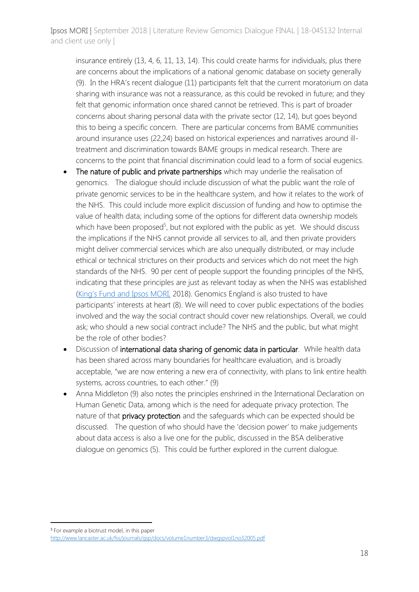insurance entirely (13, 4, 6, 11, 13, 14). This could create harms for individuals, plus there are concerns about the implications of a national genomic database on society generally (9). In the HRA's recent dialogue (11) participants felt that the current moratorium on data sharing with insurance was not a reassurance, as this could be revoked in future; and they felt that genomic information once shared cannot be retrieved. This is part of broader concerns about sharing personal data with the private sector (12, 14), but goes beyond this to being a specific concern. There are particular concerns from BAME communities around insurance uses (22,24) based on historical experiences and narratives around illtreatment and discrimination towards BAME groups in medical research. There are concerns to the point that financial discrimination could lead to a form of social eugenics.

- The nature of public and private partnerships which may underlie the realisation of genomics. The dialogue should include discussion of what the public want the role of private genomic services to be in the healthcare system, and how it relates to the work of the NHS. This could include more explicit discussion of funding and how to optimise the value of health data; including some of the options for different data ownership models which have been proposed<sup>5</sup>, but not explored with the public as yet. We should discuss the implications if the NHS cannot provide all services to all, and then private providers might deliver commercial services which are also unequally distributed, or may include ethical or technical strictures on their products and services which do not meet the high standards of the NHS. 90 per cent of people support the founding principles of the NHS, indicating that these principles are just as relevant today as when the NHS was established ([King's Fund and Ipsos MORI,](https://www.kingsfund.org.uk/publications/what-does-public-think-about-nhs) 2018). Genomics England is also trusted to have participants' interests at heart (8). We will need to cover public expectations of the bodies involved and the way the social contract should cover new relationships. Overall, we could ask; who should a new social contract include? The NHS and the public, but what might be the role of other bodies?
- Discussion of international data sharing of genomic data in particular. While health data has been shared across many boundaries for healthcare evaluation, and is broadly acceptable, "we are now entering a new era of connectivity, with plans to link entire health systems, across countries, to each other." (9)
- Anna Middleton (9) also notes the principles enshrined in the International Declaration on Human Genetic Data, among which is the need for adequate privacy protection. The nature of that privacy protection and the safeguards which can be expected should be discussed. The question of who should have the 'decision power' to make judgements about data access is also a live one for the public, discussed in the BSA deliberative dialogue on genomics (5). This could be further explored in the current dialogue.

1

<sup>5</sup> For example a biotrust model, in this paper

<http://www.lancaster.ac.uk/fss/journals/gsp/docs/volume1number3/dwgspvol1no32005.pdf>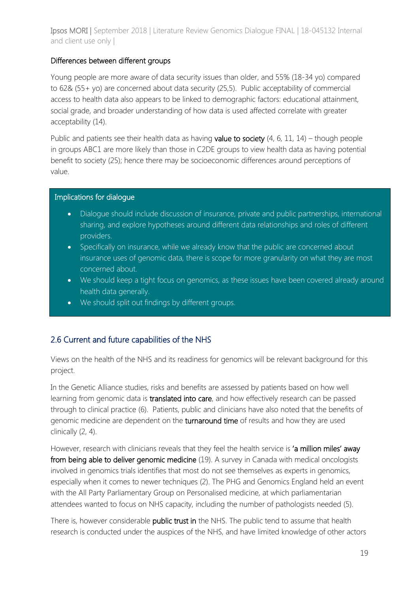#### Differences between different groups

Young people are more aware of data security issues than older, and 55% (18-34 yo) compared to 62& (55+ yo) are concerned about data security (25,5). Public acceptability of commercial access to health data also appears to be linked to demographic factors: educational attainment, social grade, and broader understanding of how data is used affected correlate with greater acceptability (14).

Public and patients see their health data as having **value to society**  $(4, 6, 11, 14)$  – though people in groups ABC1 are more likely than those in C2DE groups to view health data as having potential benefit to society (25); hence there may be socioeconomic differences around perceptions of value.

#### Implications for dialogue

- Dialogue should include discussion of insurance, private and public partnerships, international sharing, and explore hypotheses around different data relationships and roles of different providers.
- Specifically on insurance, while we already know that the public are concerned about insurance uses of genomic data, there is scope for more granularity on what they are most concerned about.
- We should keep a tight focus on genomics, as these issues have been covered already around health data generally.
- We should split out findings by different groups.

## 2.6 Current and future capabilities of the NHS

Views on the health of the NHS and its readiness for genomics will be relevant background for this project.

In the Genetic Alliance studies, risks and benefits are assessed by patients based on how well learning from genomic data is translated into care, and how effectively research can be passed through to clinical practice (6). Patients, public and clinicians have also noted that the benefits of genomic medicine are dependent on the turnaround time of results and how they are used clinically (2, 4).

However, research with clinicians reveals that they feel the health service is 'a million miles' away from being able to deliver genomic medicine (19). A survey in Canada with medical oncologists involved in genomics trials identifies that most do not see themselves as experts in genomics, especially when it comes to newer techniques (2). The PHG and Genomics England held an event with the All Party Parliamentary Group on Personalised medicine, at which parliamentarian attendees wanted to focus on NHS capacity, including the number of pathologists needed (5).

There is, however considerable public trust in the NHS. The public tend to assume that health research is conducted under the auspices of the NHS, and have limited knowledge of other actors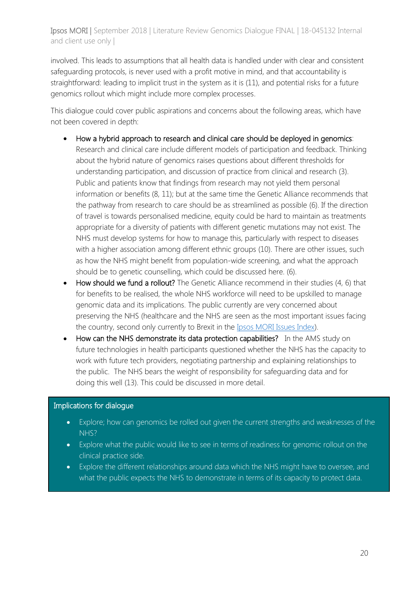involved. This leads to assumptions that all health data is handled under with clear and consistent safeguarding protocols, is never used with a profit motive in mind, and that accountability is straightforward: leading to implicit trust in the system as it is (11), and potential risks for a future genomics rollout which might include more complex processes.

This dialogue could cover public aspirations and concerns about the following areas, which have not been covered in depth:

- How a hybrid approach to research and clinical care should be deployed in genomics: Research and clinical care include different models of participation and feedback. Thinking about the hybrid nature of genomics raises questions about different thresholds for understanding participation, and discussion of practice from clinical and research (3). Public and patients know that findings from research may not yield them personal information or benefits (8, 11); but at the same time the Genetic Alliance recommends that the pathway from research to care should be as streamlined as possible (6). If the direction of travel is towards personalised medicine, equity could be hard to maintain as treatments appropriate for a diversity of patients with different genetic mutations may not exist. The NHS must develop systems for how to manage this, particularly with respect to diseases with a higher association among different ethnic groups (10). There are other issues, such as how the NHS might benefit from population-wide screening, and what the approach should be to genetic counselling, which could be discussed here. (6).
- How should we fund a rollout? The Genetic Alliance recommend in their studies (4, 6) that for benefits to be realised, the whole NHS workforce will need to be upskilled to manage genomic data and its implications. The public currently are very concerned about preserving the NHS (healthcare and the NHS are seen as the most important issues facing the country, second only currently to Brexit in the [Ipsos MORI Issues Index\)](https://www.ipsos.com/ipsos-mori/en-uk/ipsos-mori-issues-index-july-2018-public-concern-about-eu-and-brexit-rises-historic-levels).
- How can the NHS demonstrate its data protection capabilities? In the AMS study on future technologies in health participants questioned whether the NHS has the capacity to work with future tech providers, negotiating partnership and explaining relationships to the public. The NHS bears the weight of responsibility for safeguarding data and for doing this well (13). This could be discussed in more detail.

#### Implications for dialogue

- Explore; how can genomics be rolled out given the current strengths and weaknesses of the NHS?
- Explore what the public would like to see in terms of readiness for genomic rollout on the clinical practice side.
- Explore the different relationships around data which the NHS might have to oversee, and what the public expects the NHS to demonstrate in terms of its capacity to protect data.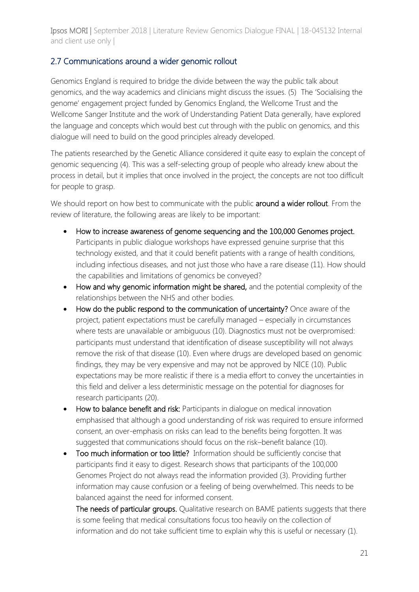## 2.7 Communications around a wider genomic rollout

Genomics England is required to bridge the divide between the way the public talk about genomics, and the way academics and clinicians might discuss the issues. (5) The 'Socialising the genome' engagement project funded by Genomics England, the Wellcome Trust and the Wellcome Sanger Institute and the work of Understanding Patient Data generally, have explored the language and concepts which would best cut through with the public on genomics, and this dialogue will need to build on the good principles already developed.

The patients researched by the Genetic Alliance considered it quite easy to explain the concept of genomic sequencing (4). This was a self-selecting group of people who already knew about the process in detail, but it implies that once involved in the project, the concepts are not too difficult for people to grasp.

We should report on how best to communicate with the public around a wider rollout. From the review of literature, the following areas are likely to be important:

- How to increase awareness of genome sequencing and the 100,000 Genomes project. Participants in public dialogue workshops have expressed genuine surprise that this technology existed, and that it could benefit patients with a range of health conditions, including infectious diseases, and not just those who have a rare disease (11). How should the capabilities and limitations of genomics be conveyed?
- How and why genomic information might be shared, and the potential complexity of the relationships between the NHS and other bodies.
- How do the public respond to the communication of uncertainty? Once aware of the project, patient expectations must be carefully managed – especially in circumstances where tests are unavailable or ambiguous (10). Diagnostics must not be overpromised: participants must understand that identification of disease susceptibility will not always remove the risk of that disease (10). Even where drugs are developed based on genomic findings, they may be very expensive and may not be approved by NICE (10). Public expectations may be more realistic if there is a media effort to convey the uncertainties in this field and deliver a less deterministic message on the potential for diagnoses for research participants (20).
- How to balance benefit and risk: Participants in dialogue on medical innovation emphasised that although a good understanding of risk was required to ensure informed consent, an over-emphasis on risks can lead to the benefits being forgotten. It was suggested that communications should focus on the risk–benefit balance (10).
- Too much information or too little? Information should be sufficiently concise that participants find it easy to digest. Research shows that participants of the 100,000 Genomes Project do not always read the information provided (3). Providing further information may cause confusion or a feeling of being overwhelmed. This needs to be balanced against the need for informed consent.

The needs of particular groups. Qualitative research on BAME patients suggests that there is some feeling that medical consultations focus too heavily on the collection of information and do not take sufficient time to explain why this is useful or necessary (1).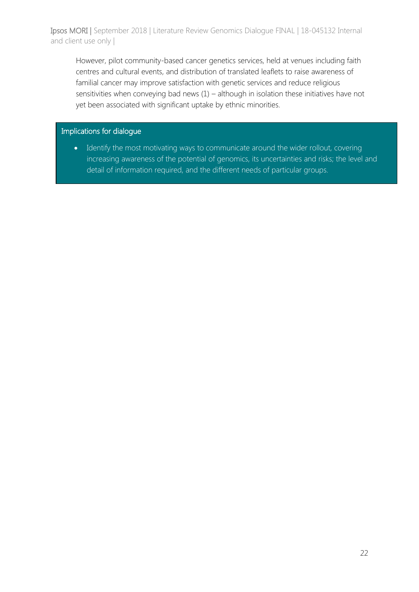However, pilot community-based cancer genetics services, held at venues including faith centres and cultural events, and distribution of translated leaflets to raise awareness of familial cancer may improve satisfaction with genetic services and reduce religious sensitivities when conveying bad news (1) – although in isolation these initiatives have not yet been associated with significant uptake by ethnic minorities.

## Implications for dialogue

• Identify the most motivating ways to communicate around the wider rollout, covering increasing awareness of the potential of genomics, its uncertainties and risks; the level and detail of information required, and the different needs of particular groups.